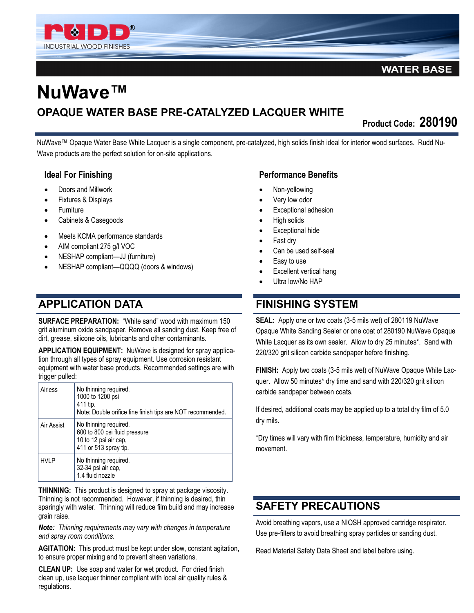

#### **WATER BASE**

# **NuWave™ OPAQUE WATER BASE PRE-CATALYZED LACQUER WHITE**

**Product Code: 280190** 

NuWave™ Opaque Water Base White Lacquer is a single component, pre-catalyzed, high solids finish ideal for interior wood surfaces. Rudd Nu-Wave products are the perfect solution for on-site applications.

#### **Ideal For Finishing**

- Doors and Millwork
- Fixtures & Displays
- **Furniture**
- Cabinets & Casegoods
- Meets KCMA performance standards
- AIM compliant 275 g/l VOC
- NESHAP compliant—JJ (furniture)
- NESHAP compliant—QQQQ (doors & windows)

#### **APPLICATION DATA**

**SURFACE PREPARATION: "White sand" wood with maximum 150** grit aluminum oxide sandpaper. Remove all sanding dust. Keep free of dirt, grease, silicone oils, lubricants and other contaminants.

**APPLICATION EQUIPMENT:** NuWave is designed for spray application through all types of spray equipment. Use corrosion resistant equipment with water base products. Recommended settings are with trigger pulled:

|  | Airless     | No thinning required.<br>1000 to 1200 psi<br>411 tip.<br>Note: Double orifice fine finish tips are NOT recommended. |
|--|-------------|---------------------------------------------------------------------------------------------------------------------|
|  | Air Assist  | No thinning required.<br>600 to 800 psi fluid pressure<br>10 to 12 psi air cap,<br>411 or 513 spray tip.            |
|  | <b>HVLP</b> | No thinning required.<br>32-34 psi air cap,<br>1.4 fluid nozzle                                                     |

**THINNING:** This product is designed to spray at package viscosity. Thinning is not recommended. However, if thinning is desired, thin sparingly with water. Thinning will reduce film build and may increase grain raise.

*Note: Thinning requirements may vary with changes in temperature and spray room conditions.*

**AGITATION:** This product must be kept under slow, constant agitation, to ensure proper mixing and to prevent sheen variations.

**CLEAN UP:** Use soap and water for wet product. For dried finish clean up, use lacquer thinner compliant with local air quality rules & regulations.

#### **Performance Benefits**

- Non-yellowing
- Very low odor
- Exceptional adhesion
- High solids
- Exceptional hide
- Fast dry
- Can be used self-seal
- Easy to use
- Excellent vertical hang
- Ultra low/No HAP

#### **FINISHING SYSTEM**

**SEAL:** Apply one or two coats (3-5 mils wet) of 280119 NuWave Opaque White Sanding Sealer or one coat of 280190 NuWave Opaque White Lacquer as its own sealer. Allow to dry 25 minutes\*. Sand with 220/320 grit silicon carbide sandpaper before finishing.

**FINISH:** Apply two coats (3-5 mils wet) of NuWave Opaque White Lacquer. Allow 50 minutes\* dry time and sand with 220/320 grit silicon carbide sandpaper between coats.

If desired, additional coats may be applied up to a total dry film of 5.0 dry mils.

\*Dry times will vary with film thickness, temperature, humidity and air movement.

### **SAFETY PRECAUTIONS**

Avoid breathing vapors, use a NIOSH approved cartridge respirator. Use pre-filters to avoid breathing spray particles or sanding dust.

Read Material Safety Data Sheet and label before using.